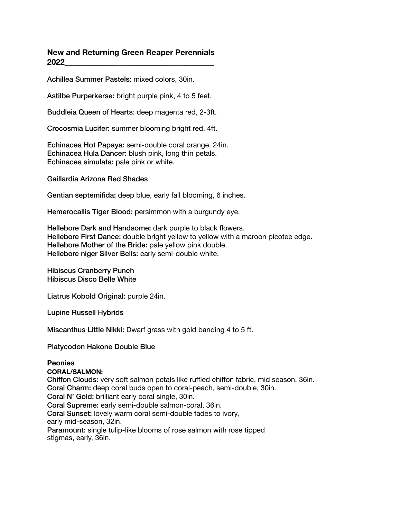# **New and Returning Green Reaper Perennials 2022\_\_\_\_\_\_\_\_\_\_\_\_\_\_\_\_\_\_\_\_\_\_\_\_\_\_\_\_\_\_\_\_\_\_\_\_\_\_**

Achillea Summer Pastels: mixed colors, 30in.

Astilbe Purperkerse: bright purple pink, 4 to 5 feet.

Buddleia Queen of Hearts: deep magenta red, 2-3ft.

Crocosmia Lucifer: summer blooming bright red, 4ft.

Echinacea Hot Papaya: semi-double coral orange, 24in. Echinacea Hula Dancer: blush pink, long thin petals. Echinacea simulata: pale pink or white.

Gaillardia Arizona Red Shades

Gentian septemifida: deep blue, early fall blooming, 6 inches.

Hemerocallis Tiger Blood: persimmon with a burgundy eye.

Hellebore Dark and Handsome: dark purple to black flowers. Hellebore First Dance: double bright yellow to yellow with a maroon picotee edge. Hellebore Mother of the Bride: pale yellow pink double. Hellebore niger Silver Bells: early semi-double white.

Hibiscus Cranberry Punch Hibiscus Disco Belle White

Liatrus Kobold Original: purple 24in.

Lupine Russell Hybrids

Miscanthus Little Nikki: Dwarf grass with gold banding 4 to 5 ft.

Platycodon Hakone Double Blue

### **Peonies**

### **CORAL/SALMON:**

Chiffon Clouds: very soft salmon petals like ruffled chiffon fabric, mid season, 36in. Coral Charm: deep coral buds open to coral-peach, semi-double, 30in. Coral N' Gold: brilliant early coral single, 30in. Coral Supreme: early semi-double salmon-coral, 36in. Coral Sunset: lovely warm coral semi-double fades to ivory, early mid-season, 32in.

Paramount: single tulip-like blooms of rose salmon with rose tipped stigmas, early, 36in.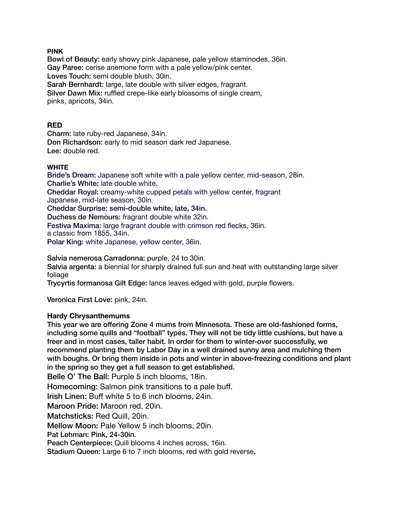## **PINK**

Bowl of Beauty: early showy pink Japanese, pale yellow staminodes, 36in. Gay Paree: cerise anemone form with a pale yellow/pink center. Loves Touch: semi double blush, 30in. Sarah Bernhardt: large, late double with silver edges, fragrant.

Silver Dawn Mix: ruffled crepe-like early blossoms of single cream, pinks, apricots, 34in.

# **RED**

Charm: late ruby-red Japanese, 34in.

Don Richardson: early to mid season dark red Japanese. Lee: double red.

### **WHITE**

Bride's Dream: Japanese soft white with a pale yellow center, mid-season, 28in. Charlie's White**:** late double white.

Cheddar Royal: creamy-white cupped petals with yellow center, fragrant Japanese, mid-late season, 30in.

Cheddar Surprise: semi-double white, late, 34in.

Duchess de Nemours: fragrant double white 32in.

Festiva Maxima: large fragrant double with crimson red flecks, 36in.

a classic from 1855, 34in.

Polar King: white Japanese, yellow center, 36in.

Salvia nemerosa Carradonna: purple, 24 to 30in.

Salvia argenta: a biennial for sharply drained full sun and heat with outstanding large silver foliage

Trycyrtis formanosa Gilt Edge: lance leaves edged with gold, purple flowers.

Veronica First Love: pink, 24in.

## **Hardy Chrysanthemums**

This year we are offering Zone 4 mums from Minnesota. These are old-fashioned forms, including some quills and "football" types. They will not be tidy little cushions, but have a freer and in most cases, taller habit. In order for them to winter-over successfully, we recommend planting them by Labor Day in a well drained sunny area and mulching them with boughs. Or bring them inside in pots and winter in above-freezing conditions and plant in the spring so they get a full season to get established.

Belle O' The Ball: Purple 5 inch blooms, 18in.

Homecoming: Salmon pink transitions to a pale buff.

Irish Linen: Buff white 5 to 6 inch blooms, 24in.

Maroon Pride: Maroon red, 20in.

Matchsticks: Red Quill, 20in.

Mellow Moon: Pale Yellow 5 inch blooms, 20in.

Pat Lehman: Pink, 24-30in.

Peach Centerpiece: Quill blooms 4 inches across, 16in.

Stadium Queen: Large 6 to 7 inch blooms, red with gold reverse**.**